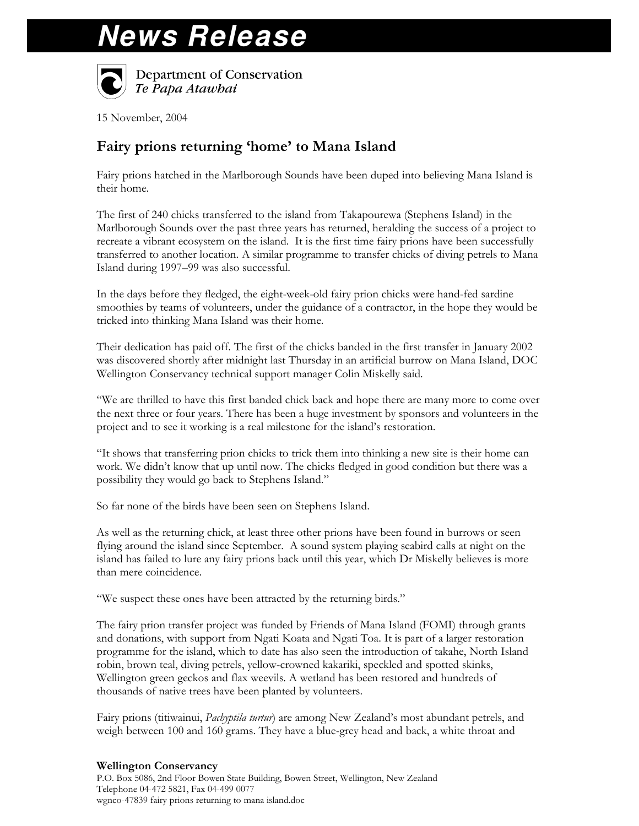## **News Release**



Department of Conservation Te Papa Atawbai

15 November, 2004

## Fairy prions returning 'home' to Mana Island

Fairy prions hatched in the Marlborough Sounds have been duped into believing Mana Island is their home.

The first of 240 chicks transferred to the island from Takapourewa (Stephens Island) in the Marlborough Sounds over the past three years has returned, heralding the success of a project to recreate a vibrant ecosystem on the island. It is the first time fairy prions have been successfully transferred to another location. A similar programme to transfer chicks of diving petrels to Mana Island during 1997–99 was also successful.

In the days before they fledged, the eight-week-old fairy prion chicks were hand-fed sardine smoothies by teams of volunteers, under the guidance of a contractor, in the hope they would be tricked into thinking Mana Island was their home.

Their dedication has paid off. The first of the chicks banded in the first transfer in January 2002 was discovered shortly after midnight last Thursday in an artificial burrow on Mana Island, DOC Wellington Conservancy technical support manager Colin Miskelly said.

"We are thrilled to have this first banded chick back and hope there are many more to come over the next three or four years. There has been a huge investment by sponsors and volunteers in the project and to see it working is a real milestone for the island's restoration.

"It shows that transferring prion chicks to trick them into thinking a new site is their home can work. We didn't know that up until now. The chicks fledged in good condition but there was a possibility they would go back to Stephens Island."

So far none of the birds have been seen on Stephens Island.

As well as the returning chick, at least three other prions have been found in burrows or seen flying around the island since September. A sound system playing seabird calls at night on the island has failed to lure any fairy prions back until this year, which Dr Miskelly believes is more than mere coincidence.

"We suspect these ones have been attracted by the returning birds."

The fairy prion transfer project was funded by Friends of Mana Island (FOMI) through grants and donations, with support from Ngati Koata and Ngati Toa. It is part of a larger restoration programme for the island, which to date has also seen the introduction of takahe, North Island robin, brown teal, diving petrels, yellow-crowned kakariki, speckled and spotted skinks, Wellington green geckos and flax weevils. A wetland has been restored and hundreds of thousands of native trees have been planted by volunteers.

Fairy prions (titiwainui, Pachyptila turtur) are among New Zealand's most abundant petrels, and weigh between 100 and 160 grams. They have a blue-grey head and back, a white throat and